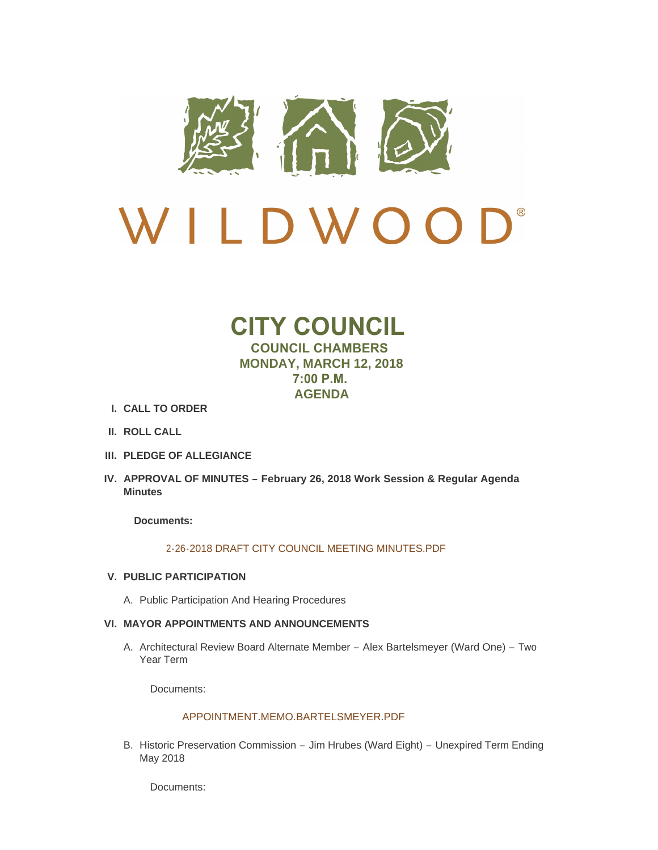

# $\mathbf{D}^*$ LDWO  $\overline{a}$

# **CITY COUNCIL COUNCIL CHAMBERS MONDAY, MARCH 12, 2018 7:00 P.M. AGENDA**

- **CALL TO ORDER I.**
- **ROLL CALL II.**
- **PLEDGE OF ALLEGIANCE III.**
- **APPROVAL OF MINUTES – February 26, 2018 Work Session & Regular Agenda IV. Minutes**

**Documents:**

# [2-26-2018 DRAFT CITY COUNCIL MEETING MINUTES.PDF](http://www.cityofwildwood.com/AgendaCenter/ViewFile/Item/14502?fileID=20106)

## **PUBLIC PARTICIPATION V.**

A. Public Participation And Hearing Procedures

## **MAYOR APPOINTMENTS AND ANNOUNCEMENTS VI.**

A. Architectural Review Board Alternate Member - Alex Bartelsmeyer (Ward One) - Two Year Term

Documents:

# [APPOINTMENT.MEMO.BARTELSMEYER.PDF](http://www.cityofwildwood.com/AgendaCenter/ViewFile/Item/14563?fileID=20157)

B. Historic Preservation Commission - Jim Hrubes (Ward Eight) - Unexpired Term Ending May 2018

Documents: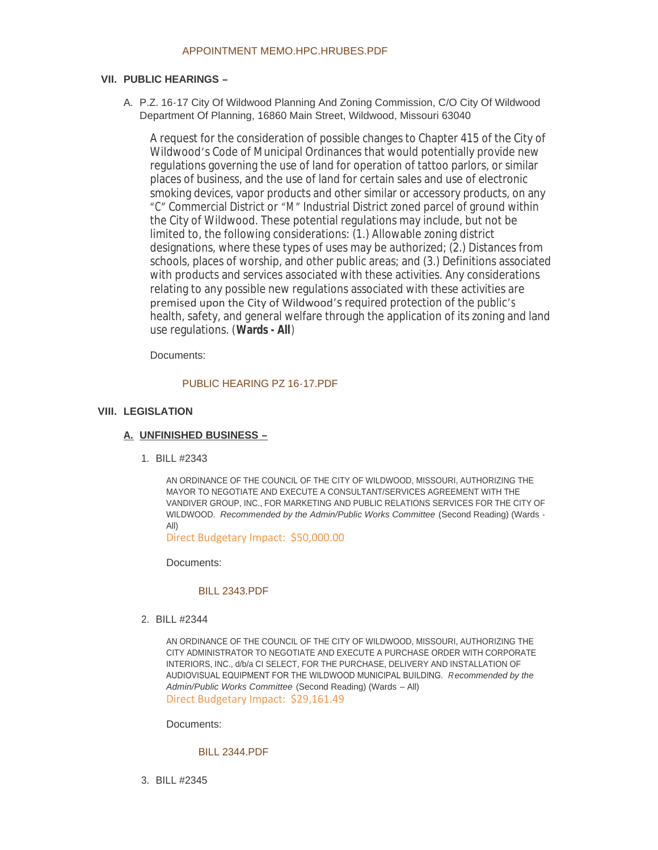# **PUBLIC HEARINGS – VII.**

A. P.Z. 16-17 City Of Wildwood Planning And Zoning Commission, C/O City Of Wildwood Department Of Planning, 16860 Main Street, Wildwood, Missouri 63040

A request for the consideration of possible changes to Chapter 415 of the City of Wildwood's Code of Municipal Ordinances that would potentially provide new regulations governing the use of land for operation of tattoo parlors, or similar places of business, and the use of land for certain sales and use of electronic smoking devices, vapor products and other similar or accessory products, on any "C" Commercial District or "M" Industrial District zoned parcel of ground within the City of Wildwood. These potential regulations may include, but not be limited to, the following considerations: (1.) Allowable zoning district designations, where these types of uses may be authorized; (2.) Distances from schools, places of worship, and other public areas; and (3.) Definitions associated with products and services associated with these activities. Any considerations relating to any possible new regulations associated with these activities are premised upon the City of Wildwood's required protection of the public's health, safety, and general welfare through the application of its zoning and land use regulations. (**Wards - All**)

Documents:

# [PUBLIC HEARING PZ 16-17.PDF](http://www.cityofwildwood.com/AgendaCenter/ViewFile/Item/14509?fileID=20107)

## **LEGISLATION VIII.**

## **UNFINISHED BUSINESS – A.**

BILL #2343 1.

AN ORDINANCE OF THE COUNCIL OF THE CITY OF WILDWOOD, MISSOURI, AUTHORIZING THE MAYOR TO NEGOTIATE AND EXECUTE A CONSULTANT/SERVICES AGREEMENT WITH THE VANDIVER GROUP, INC., FOR MARKETING AND PUBLIC RELATIONS SERVICES FOR THE CITY OF WILDWOOD. *Recommended by the Admin/Public Works Committee* (Second Reading) (Wards - All)

Direct Budgetary Impact: \$50,000.00

Documents:

#### [BILL 2343.PDF](http://www.cityofwildwood.com/AgendaCenter/ViewFile/Item/14512?fileID=20108)

BILL #2344 2.

AN ORDINANCE OF THE COUNCIL OF THE CITY OF WILDWOOD, MISSOURI, AUTHORIZING THE CITY ADMINISTRATOR TO NEGOTIATE AND EXECUTE A PURCHASE ORDER WITH CORPORATE INTERIORS, INC., d/b/a CI SELECT, FOR THE PURCHASE, DELIVERY AND INSTALLATION OF AUDIOVISUAL EQUIPMENT FOR THE WILDWOOD MUNICIPAL BUILDING. *Recommended by the Admin/Public Works Committee* (Second Reading) (Wards – All) Direct Budgetary Impact: \$29,161.49

Documents:

### [BILL 2344.PDF](http://www.cityofwildwood.com/AgendaCenter/ViewFile/Item/14513?fileID=20109)

BILL #2345 3.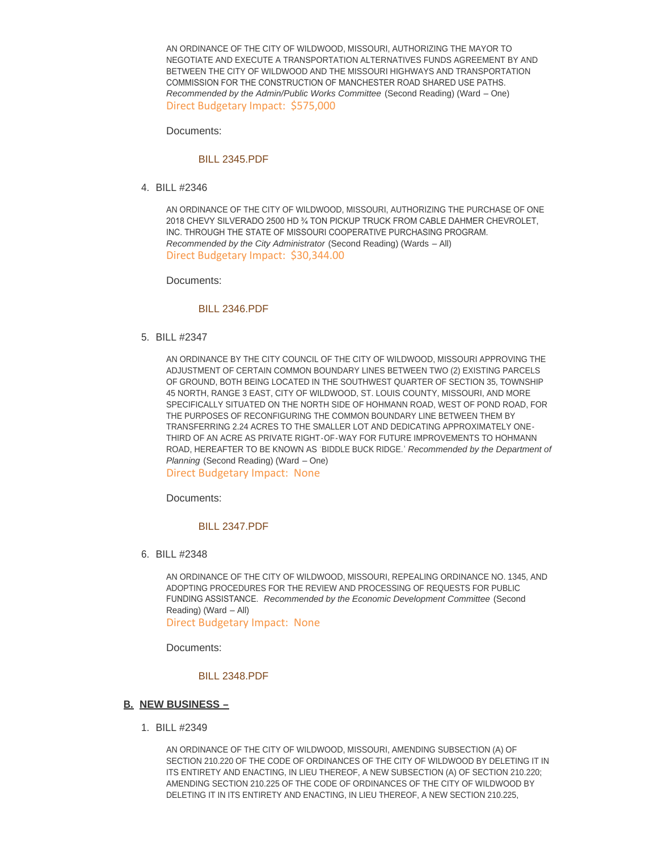AN ORDINANCE OF THE CITY OF WILDWOOD, MISSOURI, AUTHORIZING THE MAYOR TO NEGOTIATE AND EXECUTE A TRANSPORTATION ALTERNATIVES FUNDS AGREEMENT BY AND BETWEEN THE CITY OF WILDWOOD AND THE MISSOURI HIGHWAYS AND TRANSPORTATION COMMISSION FOR THE CONSTRUCTION OF MANCHESTER ROAD SHARED USE PATHS. *Recommended by the Admin/Public Works Committee* (Second Reading) (Ward – One) Direct Budgetary Impact: \$575,000

Documents:

#### [BILL 2345.PDF](http://www.cityofwildwood.com/AgendaCenter/ViewFile/Item/14514?fileID=20110)

BILL #2346 4.

AN ORDINANCE OF THE CITY OF WILDWOOD, MISSOURI, AUTHORIZING THE PURCHASE OF ONE 2018 CHEVY SILVERADO 2500 HD ¾ TON PICKUP TRUCK FROM CABLE DAHMER CHEVROLET, INC. THROUGH THE STATE OF MISSOURI COOPERATIVE PURCHASING PROGRAM. *Recommended by the City Administrator* (Second Reading) (Wards – All) Direct Budgetary Impact: \$30,344.00

Documents:

#### [BILL 2346.PDF](http://www.cityofwildwood.com/AgendaCenter/ViewFile/Item/14515?fileID=20111)

BILL #2347 5.

AN ORDINANCE BY THE CITY COUNCIL OF THE CITY OF WILDWOOD, MISSOURI APPROVING THE ADJUSTMENT OF CERTAIN COMMON BOUNDARY LINES BETWEEN TWO (2) EXISTING PARCELS OF GROUND, BOTH BEING LOCATED IN THE SOUTHWEST QUARTER OF SECTION 35, TOWNSHIP 45 NORTH, RANGE 3 EAST, CITY OF WILDWOOD, ST. LOUIS COUNTY, MISSOURI, AND MORE SPECIFICALLY SITUATED ON THE NORTH SIDE OF HOHMANN ROAD, WEST OF POND ROAD, FOR THE PURPOSES OF RECONFIGURING THE COMMON BOUNDARY LINE BETWEEN THEM BY TRANSFERRING 2.24 ACRES TO THE SMALLER LOT AND DEDICATING APPROXIMATELY ONE-THIRD OF AN ACRE AS PRIVATE RIGHT-OF-WAY FOR FUTURE IMPROVEMENTS TO HOHMANN ROAD, HEREAFTER TO BE KNOWN AS 'BIDDLE BUCK RIDGE.' *Recommended by the Department of Planning* (Second Reading) (Ward – One) Direct Budgetary Impact: None

Documents:

#### [BILL 2347.PDF](http://www.cityofwildwood.com/AgendaCenter/ViewFile/Item/14516?fileID=20112)

BILL #2348 6.

AN ORDINANCE OF THE CITY OF WILDWOOD, MISSOURI, REPEALING ORDINANCE NO. 1345, AND ADOPTING PROCEDURES FOR THE REVIEW AND PROCESSING OF REQUESTS FOR PUBLIC FUNDING ASSISTANCE. *Recommended by the Economic Development Committee* (Second Reading) (Ward – All)

Direct Budgetary Impact: None

Documents:

### [BILL 2348.PDF](http://www.cityofwildwood.com/AgendaCenter/ViewFile/Item/14517?fileID=20113)

#### **NEW BUSINESS – B.**

BILL #2349 1.

AN ORDINANCE OF THE CITY OF WILDWOOD, MISSOURI, AMENDING SUBSECTION (A) OF SECTION 210.220 OF THE CODE OF ORDINANCES OF THE CITY OF WILDWOOD BY DELETING IT IN ITS ENTIRETY AND ENACTING, IN LIEU THEREOF, A NEW SUBSECTION (A) OF SECTION 210.220; AMENDING SECTION 210.225 OF THE CODE OF ORDINANCES OF THE CITY OF WILDWOOD BY DELETING IT IN ITS ENTIRETY AND ENACTING, IN LIEU THEREOF, A NEW SECTION 210.225,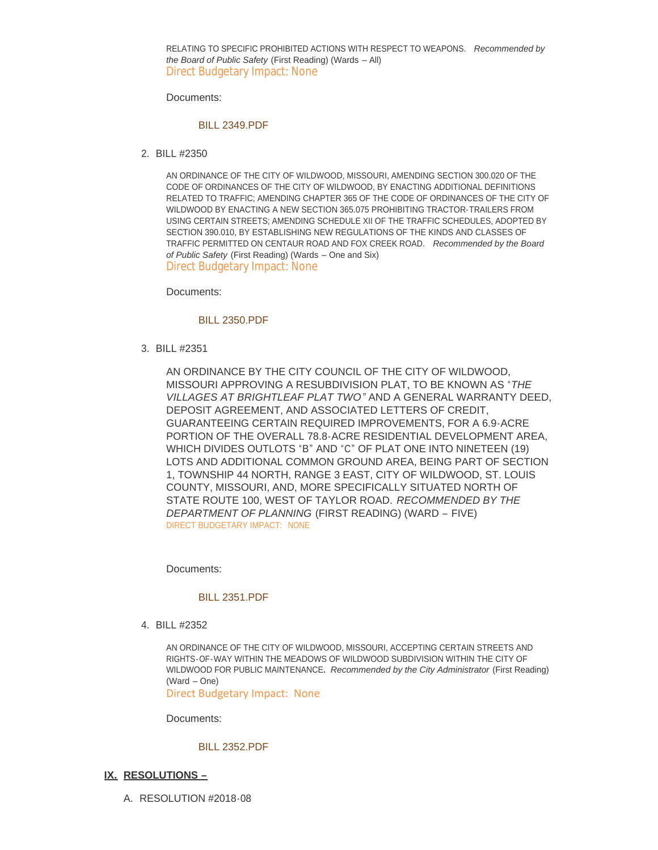RELATING TO SPECIFIC PROHIBITED ACTIONS WITH RESPECT TO WEAPONS. *Recommended by the Board of Public Safety* (First Reading) (Wards – All) Direct Budgetary Impact: None

Documents:

## [BILL 2349.PDF](http://www.cityofwildwood.com/AgendaCenter/ViewFile/Item/14519?fileID=20114)

BILL #2350 2.

AN ORDINANCE OF THE CITY OF WILDWOOD, MISSOURI, AMENDING SECTION 300.020 OF THE CODE OF ORDINANCES OF THE CITY OF WILDWOOD, BY ENACTING ADDITIONAL DEFINITIONS RELATED TO TRAFFIC; AMENDING CHAPTER 365 OF THE CODE OF ORDINANCES OF THE CITY OF WILDWOOD BY ENACTING A NEW SECTION 365.075 PROHIBITING TRACTOR-TRAILERS FROM USING CERTAIN STREETS; AMENDING SCHEDULE XII OF THE TRAFFIC SCHEDULES, ADOPTED BY SECTION 390.010, BY ESTABLISHING NEW REGULATIONS OF THE KINDS AND CLASSES OF TRAFFIC PERMITTED ON CENTAUR ROAD AND FOX CREEK ROAD. *Recommended by the Board of Public Safety* (First Reading) (Wards – One and Six) Direct Budgetary Impact: None

Documents:

#### [BILL 2350.PDF](http://www.cityofwildwood.com/AgendaCenter/ViewFile/Item/14520?fileID=20115)

BILL #2351 3.

AN ORDINANCE BY THE CITY COUNCIL OF THE CITY OF WILDWOOD, MISSOURI APPROVING A RESUBDIVISION PLAT, TO BE KNOWN AS "*THE VILLAGES AT BRIGHTLEAF PLAT TWO"* AND A GENERAL WARRANTY DEED, DEPOSIT AGREEMENT, AND ASSOCIATED LETTERS OF CREDIT, GUARANTEEING CERTAIN REQUIRED IMPROVEMENTS, FOR A 6.9-ACRE PORTION OF THE OVERALL 78.8-ACRE RESIDENTIAL DEVELOPMENT AREA, WHICH DIVIDES OUTLOTS "B" AND "C" OF PLAT ONE INTO NINETEEN (19) LOTS AND ADDITIONAL COMMON GROUND AREA, BEING PART OF SECTION 1, TOWNSHIP 44 NORTH, RANGE 3 EAST, CITY OF WILDWOOD, ST. LOUIS COUNTY, MISSOURI, AND, MORE SPECIFICALLY SITUATED NORTH OF STATE ROUTE 100, WEST OF TAYLOR ROAD. *RECOMMENDED BY THE DEPARTMENT OF PLANNING* (FIRST READING) (WARD – FIVE) DIRECT BUDGETARY IMPACT: NONE

Documents:

#### [BILL 2351.PDF](http://www.cityofwildwood.com/AgendaCenter/ViewFile/Item/14560?fileID=20136)

BILL #2352 4.

AN ORDINANCE OF THE CITY OF WILDWOOD, MISSOURI, ACCEPTING CERTAIN STREETS AND RIGHTS-OF-WAY WITHIN THE MEADOWS OF WILDWOOD SUBDIVISION WITHIN THE CITY OF WILDWOOD FOR PUBLIC MAINTENANCE**.** *Recommended by the City Administrator* (First Reading) (Ward – One)

Direct Budgetary Impact: None

Documents:

#### [BILL 2352.PDF](http://www.cityofwildwood.com/AgendaCenter/ViewFile/Item/14522?fileID=20137)

- **RESOLUTIONS – IX.**
	- A. RESOLUTION #2018-08